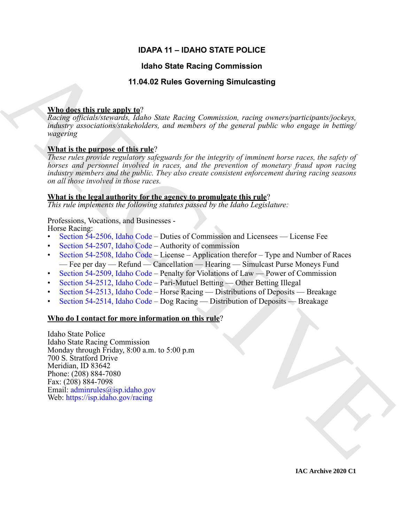## **IDAPA 11 – IDAHO STATE POLICE**

## **Idaho State Racing Commission**

## **11.04.02 Rules Governing Simulcasting**

## **Who does this rule apply to**?

*Racing officials/stewards, Idaho State Racing Commission, racing owners/participants/jockeys, industry associations/stakeholders, and members of the general public who engage in betting/ wagering*

## **What is the purpose of this rule**?

*These rules provide regulatory safeguards for the integrity of imminent horse races, the safety of horses and personnel involved in races, and the prevention of monetary fraud upon racing industry members and the public. They also create consistent enforcement during racing seasons on all those involved in those races.* 

## **What is the legal authority for the agency to promulgate this rule**?

*This rule implements the following statutes passed by the Idaho Legislature:*

## Professions, Vocations, and Businesses -

Horse Racing:

- Section 54-2506, Idaho Code Duties of Commission and Licensees License Fee
- Section 54-2507, Idaho Code Authority of commission
- Section 54-2508, Idaho Code License Application therefor Type and Number of Races — Fee per day — Refund — Cancellation — Hearing — Simulcast Purse Moneys Fund
- Section 54-2509, Idaho Code Penalty for Violations of Law Power of Commission
- Section 54-2512, Idaho Code Pari-Mutuel Betting Other Betting Illegal
- Section 54-2513, Idaho Code Horse Racing Distributions of Deposits Breakage
- Section 54-2514, Idaho Code Dog Racing Distribution of Deposits Breakage

## **Who do I contact for more information on this rule**?

**IGHO State Recinq [C](https://legislature.idaho.gov/statutesrules/idstat/Title54/T54CH25/SECT54-2508/)ommission**<br>
Mandeet this rule and  $\eta$  (1.04.02 Rules Governing Simulcasting<br> *Range affected strengent*  $\eta$ ), then  $\eta$  and  $\eta$  and  $\eta$  and  $\eta$  and  $\eta$  and  $\eta$  and  $\eta$  and  $\eta$  and  $\eta$  and  $\eta$ Idaho State Police Idaho State Racing Commission Monday through Friday, 8:00 a.m. to 5:00 p.m 700 S. Stratford Drive Meridian, ID 83642 Phone: (208) 884-7080 Fax: (208) 884-7098 Email: adminrules@isp.idaho.gov Web: https://isp.idaho.gov/racing

**IAC Archive 2020 C1**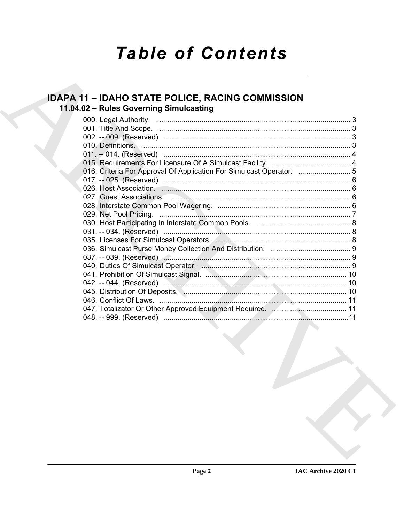# **Table of Contents**

## **IDAPA 11 - IDAHO STATE POLICE, RACING COMMISSION** 11.04.02 - Rules Governing Simulcasting

| 016. Criteria For Approval Of Application For Simulcast Operator. |  |
|-------------------------------------------------------------------|--|
|                                                                   |  |
|                                                                   |  |
|                                                                   |  |
|                                                                   |  |
|                                                                   |  |
|                                                                   |  |
|                                                                   |  |
|                                                                   |  |
|                                                                   |  |
|                                                                   |  |
|                                                                   |  |
|                                                                   |  |
|                                                                   |  |
|                                                                   |  |
|                                                                   |  |
|                                                                   |  |
|                                                                   |  |
| the contract of the contract of the contract of the contract of   |  |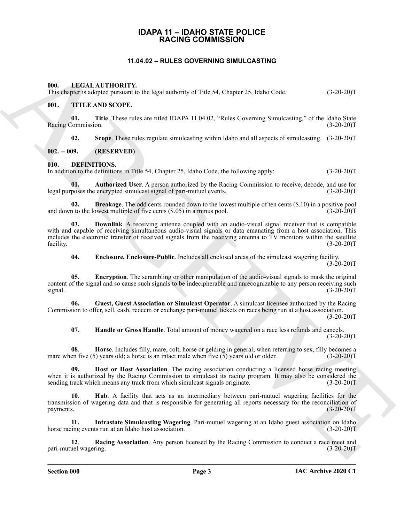## **IDAPA 11 – IDAHO STATE POLICE RACING COMMISSION**

## **11.04.02 – RULES GOVERNING SIMULCASTING**

#### <span id="page-2-19"></span><span id="page-2-2"></span><span id="page-2-1"></span><span id="page-2-0"></span>**000. LEGAL AUTHORITY.**

This chapter is adopted pursuant to the legal authority of Title 54, Chapter 25, Idaho Code. (3-20-20)T

## <span id="page-2-20"></span><span id="page-2-3"></span>**001. TITLE AND SCOPE.**

**01. Title**. These rules are titled IDAPA 11.04.02, "Rules Governing Simulcasting," of the Idaho State Racing Commission. (3-20-20)T

<span id="page-2-6"></span>**02. Scope**. These rules regulate simulcasting within Idaho and all aspects of simulcasting. (3-20-20)T

<span id="page-2-4"></span>**002. -- 009. (RESERVED)**

<span id="page-2-5"></span>**010. DEFINITIONS.**

In addition to the definitions in Title 54, Chapter 25, Idaho Code, the following apply: (3-20-20)T

<span id="page-2-7"></span>**01. Authorized User**. A person authorized by the Racing Commission to receive, decode, and use for legal purposes the encrypted simulcast signal of pari-mutuel events. (3-20-20)T

<span id="page-2-8"></span>**02. Breakage**. The odd cents rounded down to the lowest multiple of ten cents (\$.10) in a positive pool n to the lowest multiple of five cents (\$.05) in a minus pool. (3-20-20) and down to the lowest multiple of five cents  $(\$.05)$  in a minus pool.

**EXAMPLE THE COVERENT CONSUMERS SINCE 25 (WE ART 2001)**<br>
This statistic method in the second method in the second method in the second method in the second method in the second method in the second method in the second me **03. Downlink**. A receiving antenna coupled with an audio-visual signal receiver that is compatible with and capable of receiving simultaneous audio-visual signals or data emanating from a host association. This includes the electronic transfer of received signals from the receiving antenna to TV monitors within the satellite facility. (3-20-20)T facility. (3-20-20)T

<span id="page-2-11"></span><span id="page-2-10"></span><span id="page-2-9"></span>**04. Enclosure, Enclosure-Public**. Includes all enclosed areas of the simulcast wagering facility.

 $(3-20-20)T$ 

**05. Encryption**. The scrambling or other manipulation of the audio-visual signals to mask the original content of the signal and so cause such signals to be indecipherable and unrecognizable to any person receiving such signal. (3-20-20) signal.  $(3-20-20)T$ 

**06. Guest, Guest Association or Simulcast Operator**. A simulcast licensee authorized by the Racing Commission to offer, sell, cash, redeem or exchange pari-mutuel tickets on races being run at a host association.

 $(3-20-20)$ T

<span id="page-2-15"></span><span id="page-2-14"></span><span id="page-2-13"></span><span id="page-2-12"></span>**07. Handle or Gross Handle**. Total amount of money wagered on a race less refunds and cancels.  $(3-20-20)T$ 

**08**. **Horse**. Includes filly, mare, colt, horse or gelding in general; when referring to sex, filly becomes a mare when five (5) years old; a horse is an intact male when five (5) years old or older.  $(3-20-20)T$ 

**09. Host or Host Association**. The racing association conducting a licensed horse racing meeting when it is authorized by the Racing Commission to simulcast its racing program. It may also be considered the sending track which means any track from which simulcast signals originate. (3-20-20) (3-20-20) T

<span id="page-2-16"></span>**10**. **Hub**. A facility that acts as an intermediary between pari-mutuel wagering facilities for the transmission of wagering data and that is responsible for generating all reports necessary for the reconciliation of payments. (3-20-20)T

<span id="page-2-17"></span>**11. Intrastate Simulcasting Wagering**. Pari-mutuel wagering at an Idaho guest association on Idaho horse racing events run at an Idaho host association.

<span id="page-2-18"></span>**12**. **Racing Association**. Any person licensed by the Racing Commission to conduct a race meet and pari-mutuel wagering.

**Section 000 Page 3**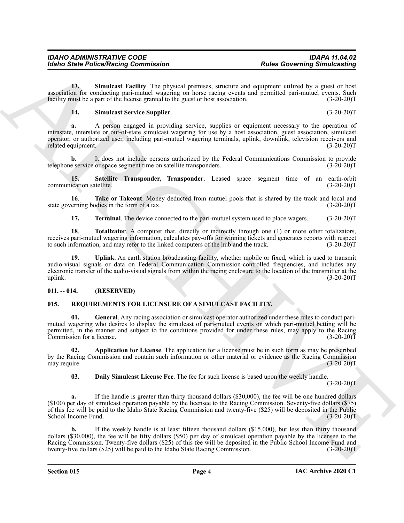**13. Simulcast Facility**. The physical premises, structure and equipment utilized by a guest or host association for conducting pari-mutuel wagering on horse racing events and permitted pari-mutuel events. Such facility must be a part of the license granted to the guest or host association. (3-20-20) facility must be a part of the license granted to the guest or host association.

## <span id="page-3-4"></span><span id="page-3-3"></span>**14. Simulcast Service Supplier**. (3-20-20)T

**a.** A person engaged in providing service, supplies or equipment necessary to the operation of intrastate, interstate or out-of-state simulcast wagering for use by a host association, guest association, simulcast operator, or authorized user, including pari-mutuel wagering terminals, uplink, downlink, television receivers and related equipment.

**b.** It does not include persons authorized by the Federal Communications Commission to provide telephone service or space segment time on satellite transponders. (3-20-20)T

<span id="page-3-2"></span>**15. Satellite Transponder, Transponder**. Leased space segment time of an earth-orbit ication satellite. (3-20-20)T communication satellite.

**16**. **Take or Takeout**. Money deducted from mutuel pools that is shared by the track and local and state governing bodies in the form of a tax. (3-20-20)T

<span id="page-3-8"></span><span id="page-3-7"></span><span id="page-3-6"></span><span id="page-3-5"></span>**17. Terminal**. The device connected to the pari-mutuel system used to place wagers. (3-20-20)T

**18**. **Totalizator**. A computer that, directly or indirectly through one (1) or more other totalizators, receives pari-mutuel wagering information, calculates pay-offs for winning tickets and generates reports with respect to such information, and may refer to the linked computers of the hub and the track. (3-20-20) to such information, and may refer to the linked computers of the hub and the track.

**19. Uplink**. An earth station broadcasting facility, whether mobile or fixed, which is used to transmit audio-visual signals or data on Federal Communication Commission-controlled frequencies, and includes any electronic transfer of the audio-visual signals from within the racing enclosure to the location of the transmitter at the uplink.  $(3-20-20)T$ 

## <span id="page-3-0"></span>**011. -- 014. (RESERVED)**

## <span id="page-3-12"></span><span id="page-3-9"></span><span id="page-3-1"></span>**015. REQUIREMENTS FOR LICENSURE OF A SIMULCAST FACILITY.**

**01. General**. Any racing association or simulcast operator authorized under these rules to conduct parimutuel wagering who desires to display the simulcast of pari-mutuel events on which pari-mutuel betting will be permitted, in the manner and subject to the conditions provided for under these rules, may apply to the Racing Commission for a license. (3-20-20) Commission for a license.

**02. Application for License**. The application for a license must be in such form as may be prescribed by the Racing Commission and contain such information or other material or evidence as the Racing Commission may require. (3-20-20) may require.

<span id="page-3-11"></span><span id="page-3-10"></span>**03. Daily Simulcast License Fee**. The fee for such license is based upon the weekly handle.

 $(3-20-20)T$ 

Reader Police Number (as a contribute of the state of the state of the state of the state of the state of the state of the state of the state of the state of the state of the state of the state of the state of the state o **a.** If the handle is greater than thirty thousand dollars (\$30,000), the fee will be one hundred dollars (\$100) per day of simulcast operation payable by the licensee to the Racing Commission. Seventy-five dollars (\$75) of this fee will be paid to the Idaho State Racing Commission and twenty-five (\$25) will be deposited in the Public School Income Fund. (3-20-20)T

**b.** If the weekly handle is at least fifteen thousand dollars (\$15,000), but less than thirty thousand dollars (\$30,000), the fee will be fifty dollars (\$50) per day of simulcast operation payable by the licensee to the Racing Commission. Twenty-five dollars (\$25) of this fee will be deposited in the Public School Income Fund and twenty-five dollars (\$25) will be paid to the Idaho State Racing Commission. (3-20-20)T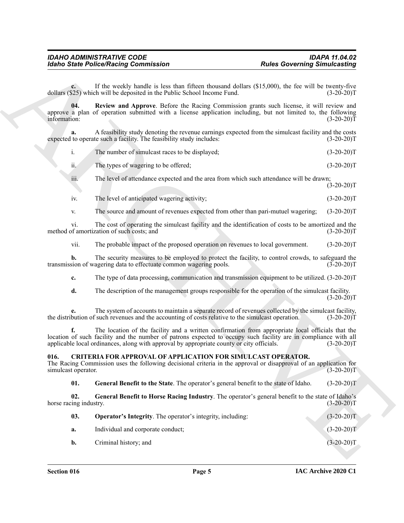<span id="page-4-5"></span>

| The number of simulcast races to be displayed; | $(3-20-20)T$ |
|------------------------------------------------|--------------|
|                                                |              |

- iv. The level of anticipated wagering activity; (3-20-20)T
- v. The source and amount of revenues expected from other than pari-mutuel wagering; (3-20-20)T

## <span id="page-4-4"></span><span id="page-4-3"></span><span id="page-4-2"></span><span id="page-4-1"></span><span id="page-4-0"></span>**016. CRITERIA FOR APPROVAL OF APPLICATION FOR SIMULCAST OPERATOR.**

|                               | <b>Idaho State Police/Racing Commission</b>                                                                                                                                                                                                                                                                       | <b>Rules Governing Simulcasting</b> |
|-------------------------------|-------------------------------------------------------------------------------------------------------------------------------------------------------------------------------------------------------------------------------------------------------------------------------------------------------------------|-------------------------------------|
| $c_{\cdot}$                   | If the weekly handle is less than fifteen thousand dollars (\$15,000), the fee will be twenty-five<br>dollars (\$25) which will be deposited in the Public School Income Fund.                                                                                                                                    | $(3-20-20)T$                        |
| 04.<br>information:           | Review and Approve. Before the Racing Commission grants such license, it will review and<br>approve a plan of operation submitted with a license application including, but not limited to, the following                                                                                                         | $(3-20-20)T$                        |
| a.                            | A feasibility study denoting the revenue earnings expected from the simulcast facility and the costs<br>expected to operate such a facility. The feasibility study includes:                                                                                                                                      | $(3-20-20)T$                        |
| i.                            | The number of simulcast races to be displayed;                                                                                                                                                                                                                                                                    | $(3-20-20)T$                        |
| ii.                           | The types of wagering to be offered;                                                                                                                                                                                                                                                                              | $(3-20-20)T$                        |
| iii.                          | The level of attendance expected and the area from which such attendance will be drawn;                                                                                                                                                                                                                           | $(3-20-20)T$                        |
| iv.                           | The level of anticipated wagering activity;                                                                                                                                                                                                                                                                       | $(3-20-20)T$                        |
| V.                            | The source and amount of revenues expected from other than pari-mutuel wagering;                                                                                                                                                                                                                                  | $(3-20-20)T$                        |
| vi.                           | The cost of operating the simulcast facility and the identification of costs to be amortized and the<br>method of amortization of such costs; and                                                                                                                                                                 | $(3-20-20)T$                        |
| vii.                          | The probable impact of the proposed operation on revenues to local government.                                                                                                                                                                                                                                    | $(3-20-20)T$                        |
| b.                            | The security measures to be employed to protect the facility, to control crowds, to safeguard the<br>transmission of wagering data to effectuate common wagering pools.                                                                                                                                           | $(3-20-20)T$                        |
| c.                            | The type of data processing, communication and transmission equipment to be utilized. (3-20-20)T                                                                                                                                                                                                                  |                                     |
| d.                            | The description of the management groups responsible for the operation of the simulcast facility.                                                                                                                                                                                                                 | $(3-20-20)T$                        |
|                               | The system of accounts to maintain a separate record of revenues collected by the simulcast facility,<br>the distribution of such revenues and the accounting of costs relative to the simulcast operation.                                                                                                       | $(3-20-20)T$                        |
| f.                            | The location of the facility and a written confirmation from appropriate local officials that the<br>location of such facility and the number of patrons expected to occupy such facility are in compliance with all<br>applicable local ordinances, along with approval by appropriate county or city officials. | $(3-20-20)T$                        |
| 016.<br>simulcast operator.   | <b>CRITERIA FOR APPROVAL OF APPLICATION FOR SIMULCAST OPERATOR.</b><br>The Racing Commission uses the following decisional criteria in the approval or disapproval of an application for                                                                                                                          | $(3-20-20)T$                        |
| 01.                           | General Benefit to the State. The operator's general benefit to the state of Idaho.                                                                                                                                                                                                                               | $(3-20-20)T$                        |
| 02.<br>horse racing industry. | General Benefit to Horse Racing Industry. The operator's general benefit to the state of Idaho's                                                                                                                                                                                                                  | $(3-20-20)T$                        |
| 03.                           | <b>Operator's Integrity</b> . The operator's integrity, including:                                                                                                                                                                                                                                                | $(3-20-20)T$                        |
|                               | Individual and corporate conduct;                                                                                                                                                                                                                                                                                 | $(3-20-20)T$                        |
| a.                            |                                                                                                                                                                                                                                                                                                                   |                                     |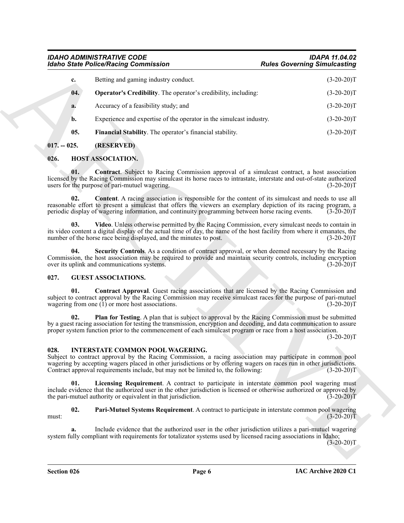## <span id="page-5-5"></span>*IDAHO ADMINISTRATIVE CODE IDAPA 11.04.02 Idaho State Police/Racing Commission*

| <b>Idaho State Police/Racing Commission</b>                                                                                                                                                                                                                                                                                                                          | <b>Rules Governing Simulcasting</b> |
|----------------------------------------------------------------------------------------------------------------------------------------------------------------------------------------------------------------------------------------------------------------------------------------------------------------------------------------------------------------------|-------------------------------------|
| Betting and gaming industry conduct.<br>c.                                                                                                                                                                                                                                                                                                                           | $(3-20-20)T$                        |
| 04.<br><b>Operator's Credibility.</b> The operator's credibility, including:                                                                                                                                                                                                                                                                                         | $(3-20-20)T$                        |
| Accuracy of a feasibility study; and<br>a.                                                                                                                                                                                                                                                                                                                           | $(3-20-20)T$                        |
| Experience and expertise of the operator in the simulcast industry.<br>b.                                                                                                                                                                                                                                                                                            | $(3-20-20)T$                        |
| 05.<br>Financial Stability. The operator's financial stability.                                                                                                                                                                                                                                                                                                      | $(3-20-20)T$                        |
| (RESERVED)<br>$017. - 025.$                                                                                                                                                                                                                                                                                                                                          |                                     |
| HOST ASSOCIATION.<br>026.                                                                                                                                                                                                                                                                                                                                            |                                     |
| <b>Contract.</b> Subject to Racing Commission approval of a simulcast contract, a host association<br>01.<br>licensed by the Racing Commission may simulcast its horse races to intrastate, interstate and out-of-state authorized<br>users for the purpose of pari-mutuel wagering.                                                                                 | $(3-20-20)T$                        |
| Content. A racing association is responsible for the content of its simulcast and needs to use all<br>02.<br>reasonable effort to present a simulcast that offers the viewers an exemplary depiction of its racing program, a<br>periodic display of wagering information, and continuity programming between horse racing events.                                   | $(3-20-20)T$                        |
| Video. Unless otherwise permitted by the Racing Commission, every simulcast needs to contain in<br>03.<br>its video content a digital display of the actual time of day, the name of the host facility from where it emanates, the<br>number of the horse race being displayed, and the minutes to post.                                                             | $(3-20-20)T$                        |
| Security Controls. As a condition of contract approval, or when deemed necessary by the Racing<br>04.<br>Commission, the host association may be required to provide and maintain security controls, including encryption<br>over its uplink and communications systems.                                                                                             | $(3-20-20)T$                        |
| 027.<br><b>GUEST ASSOCIATIONS.</b>                                                                                                                                                                                                                                                                                                                                   |                                     |
| <b>Contract Approval.</b> Guest racing associations that are licensed by the Racing Commission and<br>01.<br>subject to contract approval by the Racing Commission may receive simulcast races for the purpose of pari-mutuel<br>wagering from one $(1)$ or more host associations.                                                                                  | $(3-20-20)$ T                       |
| Plan for Testing. A plan that is subject to approval by the Racing Commission must be submitted<br>02.<br>by a guest racing association for testing the transmission, encryption and decoding, and data communication to assure<br>proper system function prior to the commencement of each simulcast program or race from a host association.                       | $(3-20-20)T$                        |
| INTERSTATE COMMON POOL WAGERING.<br>028.<br>Subject to contract approval by the Racing Commission, a racing association may participate in common pool<br>wagering by accepting wagers placed in other jurisdictions or by offering wagers on races run in other jurisdictions.<br>Contract approval requirements include, but may not be limited to, the following: | $(3-20-20)T$                        |
| 01.<br>Licensing Requirement. A contract to participate in interstate common pool wagering must<br>include evidence that the authorized user in the other jurisdiction is licensed or otherwise authorized or approved by<br>the pari-mutuel authority or equivalent in that jurisdiction.                                                                           | $(3-20-20)T$                        |
| 02.<br>Pari-Mutuel Systems Requirement. A contract to participate in interstate common pool wagering<br>must:                                                                                                                                                                                                                                                        | $(3-20-20)T$                        |
| Include evidence that the authorized user in the other jurisdiction utilizes a pari-mutuel wagering<br>a.<br>system fully compliant with requirements for totalizator systems used by licensed racing associations in Idaho;                                                                                                                                         | $(3-20-20)T$                        |
|                                                                                                                                                                                                                                                                                                                                                                      |                                     |

## <span id="page-5-11"></span><span id="page-5-10"></span><span id="page-5-9"></span><span id="page-5-4"></span><span id="page-5-1"></span><span id="page-5-0"></span>**026. HOST ASSOCIATION.**

## <span id="page-5-13"></span><span id="page-5-12"></span><span id="page-5-8"></span><span id="page-5-7"></span><span id="page-5-6"></span><span id="page-5-2"></span>**027. GUEST ASSOCIATIONS.**

## <span id="page-5-16"></span><span id="page-5-15"></span><span id="page-5-14"></span><span id="page-5-3"></span>**028. INTERSTATE COMMON POOL WAGERING.**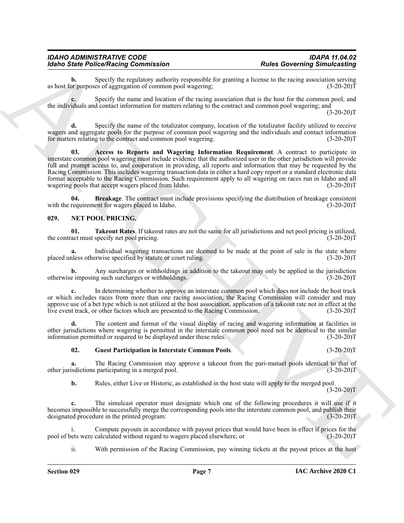#### *IDAHO ADMINISTRATIVE CODE IDAPA 11.04.02 Idaho State Police/Racing Commission*

**b.** Specify the regulatory authority responsible for granting a license to the racing association serving or purposes of aggregation of common pool wagering; (3-20-20) as host for purposes of aggregation of common pool wagering;

Specify the name and location of the racing association that is the host for the common pool, and the individuals and contact information for matters relating to the contract and common pool wagering; and

 $(3-20-20)T$ 

<span id="page-6-1"></span>Specify the name of the totalizator company, location of the totalizator facility utilized to receive wagers and aggregate pools for the purpose of common pool wagering and the individuals and contact information for matters relating to the contract and common pool wagering. (3-20-20)T

For Poince Poince Principal Game Contents and the principal section and the state of the state of the state of the state of the state of the state of the state of the state of the state of the state of the state of the st **03. Access to Reports and Wagering Information Requirement**. A contract to participate in interstate common pool wagering must include evidence that the authorized user in the other jurisdiction will provide full and prompt access to, and cooperation in providing, all reports and information that may be requested by the Racing Commission. This includes wagering transaction data in either a hard copy report or a standard electronic data format acceptable to the Racing Commission. Such requirement apply to all wagering on races run in Idaho and all wagering pools that accept wagers placed from Idaho.

<span id="page-6-2"></span>**Breakage**. The contract must include provisions specifying the distribution of breakage consistent ent for wagers placed in Idaho. (3-20-20) with the requirement for wagers placed in Idaho.

### <span id="page-6-3"></span><span id="page-6-0"></span>**029. NET POOL PRICING.**

<span id="page-6-5"></span>**01. Takeout Rates**. If takeout rates are not the same for all jurisdictions and net pool pricing is utilized, the contract must specify net pool pricing. (3-20-20)T

**a.** Individual wagering transactions are deemed to be made at the point of sale in the state where nless otherwise specified by statute or court ruling. (3-20-20) placed unless otherwise specified by statute or court ruling.

**b.** Any surcharges or withholdings in addition to the takeout may only be applied in the jurisdiction e imposing such surcharges or withholdings. (3-20-20) otherwise imposing such surcharges or withholdings.

**c.** In determining whether to approve an interstate common pool which does not include the host track or which includes races from more than one racing association, the Racing Commission will consider and may approve use of a bet type which is not utilized at the host association, application of a takeout rate not in effect at the live event track, or other factors which are presented to the Racing Commission. (3-20-20)T

**d.** The content and format of the visual display of racing and wagering information at facilities in other jurisdictions where wagering is permitted in the interstate common pool need not be identical to the similar information permitted or required to be displayed under these rules. (3-20-20) information permitted or required to be displayed under these rules.

#### <span id="page-6-4"></span>**02. Guest Participation in Interstate Common Pools**. (3-20-20)T

**a.** The Racing Commission may approve a takeout from the pari-mutuel pools identical to that of isdictions participating in a merged pool. (3-20-20) other jurisdictions participating in a merged pool.

**b.** Rules, either Live or Historic, as established in the host state will apply to the merged pool.  $(3-20-20)T$ 

**c.** The simulcast operator must designate which one of the following procedures it will use if it becomes impossible to successfully merge the corresponding pools into the interstate common pool, and publish their designated procedure in the printed program: (3-20-20)T

Compute payouts in accordance with payout prices that would have been in effect if prices for the calculated without regard to wagers placed elsewhere; or  $(3-20-20)$ pool of bets were calculated without regard to wagers placed elsewhere; or

ii. With permission of the Racing Commission, pay winning tickets at the payout prices at the host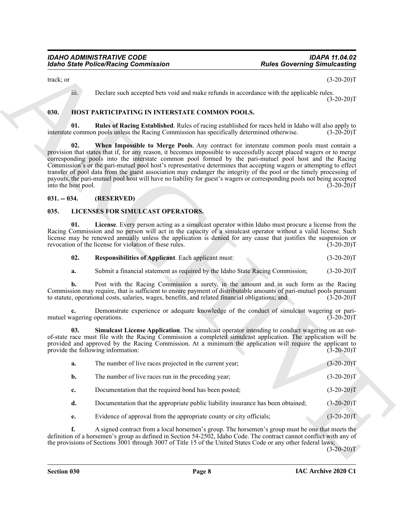## <span id="page-7-5"></span><span id="page-7-4"></span><span id="page-7-3"></span><span id="page-7-0"></span>**030. HOST PARTICIPATING IN INTERSTATE COMMON POOLS.**

## <span id="page-7-1"></span>**031. -- 034. (RESERVED)**

## <span id="page-7-6"></span><span id="page-7-2"></span>**035. LICENSES FOR SIMULCAST OPERATORS.**

<span id="page-7-9"></span><span id="page-7-8"></span><span id="page-7-7"></span>

| 02. | <b>Responsibilities of Applicant.</b> Each applicant must: | $(3-20-20)T$ |
|-----|------------------------------------------------------------|--------------|
|     |                                                            |              |

|                     | <b>Idaho State Police/Racing Commission</b>                                                            | <b>Rules Governing Simulcasting</b>                                                                                                                                                                                                                                                                                                                                                                                                                                                                                                                                                                                                                                                                                |  |
|---------------------|--------------------------------------------------------------------------------------------------------|--------------------------------------------------------------------------------------------------------------------------------------------------------------------------------------------------------------------------------------------------------------------------------------------------------------------------------------------------------------------------------------------------------------------------------------------------------------------------------------------------------------------------------------------------------------------------------------------------------------------------------------------------------------------------------------------------------------------|--|
| track; or           |                                                                                                        | $(3-20-20)T$                                                                                                                                                                                                                                                                                                                                                                                                                                                                                                                                                                                                                                                                                                       |  |
|                     | iii.                                                                                                   | Declare such accepted bets void and make refunds in accordance with the applicable rules.<br>$(3-20-20)T$                                                                                                                                                                                                                                                                                                                                                                                                                                                                                                                                                                                                          |  |
| 030.                | HOST PARTICIPATING IN INTERSTATE COMMON POOLS.                                                         |                                                                                                                                                                                                                                                                                                                                                                                                                                                                                                                                                                                                                                                                                                                    |  |
|                     | 01.<br>interstate common pools unless the Racing Commission has specifically determined otherwise.     | Rules of Racing Established. Rules of racing established for races held in Idaho will also apply to<br>$(3-20-20)T$                                                                                                                                                                                                                                                                                                                                                                                                                                                                                                                                                                                                |  |
| into the host pool. | 02.                                                                                                    | When Impossible to Merge Pools. Any contract for interstate common pools must contain a<br>provision that states that if, for any reason, it becomes impossible to successfully accept placed wagers or to merge<br>corresponding pools into the interstate common pool formed by the pari-mutuel pool host and the Racing<br>Commission's or the pari-mutuel pool host's representative determines that accepting wagers or attempting to effect<br>transfer of pool data from the guest association may endanger the integrity of the pool or the timely processing of<br>payouts, the pari-mutuel pool host will have no liability for guest's wagers or corresponding pools not being accepted<br>$(3-20-20)T$ |  |
| $031. - 034.$       | (RESERVED)                                                                                             |                                                                                                                                                                                                                                                                                                                                                                                                                                                                                                                                                                                                                                                                                                                    |  |
| 035.                | LICENSES FOR SIMULCAST OPERATORS.                                                                      |                                                                                                                                                                                                                                                                                                                                                                                                                                                                                                                                                                                                                                                                                                                    |  |
|                     | 01.<br>revocation of the license for violation of these rules.                                         | License. Every person acting as a simulcast operator within Idaho must procure a license from the<br>Racing Commission and no person will act in the capacity of a simulcast operator without a valid license. Such<br>license may be renewed annually unless the application is denied for any cause that justifies the suspension or<br>$(3-20-20)T$                                                                                                                                                                                                                                                                                                                                                             |  |
|                     | 02.<br>Responsibilities of Applicant. Each applicant must:                                             | $(3-20-20)T$                                                                                                                                                                                                                                                                                                                                                                                                                                                                                                                                                                                                                                                                                                       |  |
| a.                  | Submit a financial statement as required by the Idaho State Racing Commission;                         | $(3-20-20)T$                                                                                                                                                                                                                                                                                                                                                                                                                                                                                                                                                                                                                                                                                                       |  |
|                     | b.<br>to statute, operational costs, salaries, wages, benefits, and related financial obligations; and | Post with the Racing Commission a surety, in the amount and in such form as the Racing<br>Commission may require, that is sufficient to ensure payment of distributable amounts of pari-mutuel pools pursuant<br>$(3-20-20)T$                                                                                                                                                                                                                                                                                                                                                                                                                                                                                      |  |
| c.                  | mutuel wagering operations.                                                                            | Demonstrate experience or adequate knowledge of the conduct of simulcast wagering or pari-<br>$(3-20-20)T$                                                                                                                                                                                                                                                                                                                                                                                                                                                                                                                                                                                                         |  |
|                     | 03.<br>provide the following information:                                                              | Simulcast License Application. The simulcast operator intending to conduct wagering on an out-<br>of-state race must file with the Racing Commission a completed simulcast application. The application will be<br>provided and approved by the Racing Commission. At a minimum the application will require the applicant to<br>$(3-20-20)T$                                                                                                                                                                                                                                                                                                                                                                      |  |
| a.                  | The number of live races projected in the current year;                                                | $(3-20-20)T$                                                                                                                                                                                                                                                                                                                                                                                                                                                                                                                                                                                                                                                                                                       |  |
| b.                  | The number of live races run in the preceding year;                                                    | $(3-20-20)T$                                                                                                                                                                                                                                                                                                                                                                                                                                                                                                                                                                                                                                                                                                       |  |
| c.                  | Documentation that the required bond has been posted;                                                  | $(3-20-20)T$                                                                                                                                                                                                                                                                                                                                                                                                                                                                                                                                                                                                                                                                                                       |  |
| d.                  | Documentation that the appropriate public liability insurance has been obtained;                       | $(3-20-20)T$                                                                                                                                                                                                                                                                                                                                                                                                                                                                                                                                                                                                                                                                                                       |  |
| e.                  | Evidence of approval from the appropriate county or city officials;                                    | $(3-20-20)T$                                                                                                                                                                                                                                                                                                                                                                                                                                                                                                                                                                                                                                                                                                       |  |
| f.                  |                                                                                                        | A signed contract from a local horsemen's group. The horsemen's group must be one that meets the<br>definition of a horsemen's group as defined in Section 54-2502, Idaho Code. The contract cannot conflict with any of<br>the provisions of Sections $3001$ through 3007 of Title 15 of the United States Code or any other federal laws;<br>$(3-20-20)T$                                                                                                                                                                                                                                                                                                                                                        |  |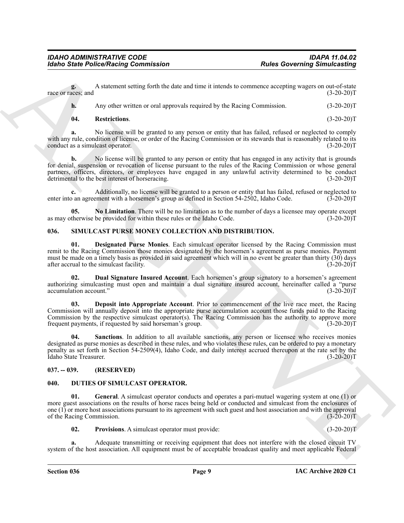**g.** A statement setting forth the date and time it intends to commence accepting wagers on out-of-state race or races; and (3-20-20)T

**h.** Any other written or oral approvals required by the Racing Commission. (3-20-20)T

#### <span id="page-8-7"></span>**04. Restrictions**. (3-20-20)T

**a.** No license will be granted to any person or entity that has failed, refused or neglected to comply with any rule, condition of license, or order of the Racing Commission or its stewards that is reasonably related to its conduct as a simulcast operator. (3-20-20)T

**b.** No license will be granted to any person or entity that has engaged in any activity that is grounds for denial, suspension or revocation of license pursuant to the rules of the Racing Commission or whose general partners, officers, directors, or employees have engaged in any unlawful activity determined to be conduct detrimental to the best interest of horseracing. (3-20-20)T

**c.** Additionally, no license will be granted to a person or entity that has failed, refused or neglected to enter into an agreement with a horsemen's group as defined in Section 54-2502, Idaho Code. (3-20-20)T

<span id="page-8-6"></span>**05.** No Limitation. There will be no limitation as to the number of days a licensee may operate except therwise be provided for within these rules or the Idaho Code.  $(3-20-20)$ as may otherwise be provided for within these rules or the Idaho Code.

## <span id="page-8-8"></span><span id="page-8-0"></span>**036. SIMULCAST PURSE MONEY COLLECTION AND DISTRIBUTION.**

<span id="page-8-10"></span>**01. Designated Purse Monies**. Each simulcast operator licensed by the Racing Commission must remit to the Racing Commission those monies designated by the horsemen's agreement as purse monies. Payment must be made on a timely basis as provided in said agreement which will in no event be greater than thirty (30) days after accrual to the simulcast facility. (3-20-20)T

<span id="page-8-11"></span>**02. Dual Signature Insured Account**. Each horsemen's group signatory to a horsemen's agreement authorizing simulcasting must open and maintain a dual signature insured account, hereinafter called a "purse accumulation account." (3-20-20) accumulation account."

<span id="page-8-12"></span><span id="page-8-9"></span>**03. Deposit into Appropriate Account**. Prior to commencement of the live race meet, the Racing Commission will annually deposit into the appropriate purse accumulation account those funds paid to the Racing Commission by the respective simulcast operator(s). The Racing Commission has the authority to approve more frequent payments, if requested by said horseman's group. (3-20-20)T

For the PolecoPhistophone scale policies and time is interesting the Governing Binnickshing<br>
mass and the scale of the scale of the scale of the scale of the scale of the scale of the scale of the scale of the scale of th **04. Sanctions**. In addition to all available sanctions, any person or licensee who receives monies designated as purse monies as described in these rules, and who violates these rules, can be ordered to pay a monetary penalty as set forth in Section 54-2509(4), Idaho Code, and daily interest accrued thereupon at the rate set by the Idaho State Treasurer. (3-20-20)T

## <span id="page-8-1"></span>**037. -- 039. (RESERVED)**

## <span id="page-8-3"></span><span id="page-8-2"></span>**040. DUTIES OF SIMULCAST OPERATOR.**

**01. General**. A simulcast operator conducts and operates a pari-mutuel wagering system at one (1) or more guest associations on the results of horse races being held or conducted and simulcast from the enclosures of one (1) or more host associations pursuant to its agreement with such guest and host association and with the approval of the Racing Commission. (3-20-20)T

<span id="page-8-5"></span><span id="page-8-4"></span>**02.** Provisions. A simulcast operator must provide: (3-20-20)T

**a.** Adequate transmitting or receiving equipment that does not interfere with the closed circuit TV system of the host association. All equipment must be of acceptable broadcast quality and meet applicable Federal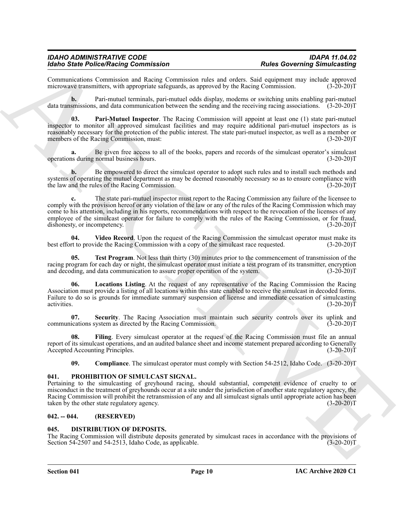#### *IDAHO ADMINISTRATIVE CODE IDAPA 11.04.02 Idaho State Police/Racing Commission*

Communications Commission and Racing Commission rules and orders. Said equipment may include approved microwave transmitters, with appropriate safeguards, as approved by the Racing Commission.

**b.** Pari-mutuel terminals, pari-mutuel odds display, modems or switching units enabling pari-mutuel data transmissions, and data communication between the sending and the receiving racing associations. (3-20-20)T

<span id="page-9-7"></span>**03. Pari-Mutuel Inspector**. The Racing Commission will appoint at least one (1) state pari-mutuel inspector to monitor all approved simulcast facilities and may require additional pari-mutuel inspectors as is reasonably necessary for the protection of the public interest. The state pari-mutuel inspector, as well as a member or members of the Racing Commission, must: (3-20-20)T

**a.** Be given free access to all of the books, papers and records of the simulcast operator's simulcast s during normal business hours. (3-20-20) operations during normal business hours.

**b.** Be empowered to direct the simulcast operator to adopt such rules and to install such methods and systems of operating the mutuel department as may be deemed reasonably necessary so as to ensure compliance with the law and the rules of the Racing Commission. (3-20-20) the law and the rules of the Racing Commission.

More Sink Poince on the Contents of the Contents of the Contents of the Contents of the Contents of the Contents of the Contents of the Contents of the Contents of the Contents of the Contents of the Contents of the Cont **c.** The state pari-mutuel inspector must report to the Racing Commission any failure of the licensee to comply with the provision hereof or any violation of the law or any of the rules of the Racing Commission which may come to his attention, including in his reports, recommendations with respect to the revocation of the licenses of any employee of the simulcast operator for failure to comply with the rules of the Racing Commission, or for fraud, dishonesty, or incompetency. (3-20-20) dishonesty, or incompetency.

<span id="page-9-10"></span>**04.** Video Record. Upon the request of the Racing Commission the simulcast operator must make its to provide the Racing Commission with a copy of the simulcast race requested. (3-20-20) best effort to provide the Racing Commission with a copy of the simulcast race requested.

<span id="page-9-9"></span>**Test Program.** Not less than thirty (30) minutes prior to the commencement of transmission of the racing program for each day or night, the simulcast operator must initiate a test program of its transmitter, encryption and decoding, and data communication to assure proper operation of the system. (3-20-20)T

<span id="page-9-6"></span>**06. Locations Listing**. At the request of any representative of the Racing Commission the Racing Association must provide a listing of all locations within this state enabled to receive the simulcast in decoded forms. Failure to do so is grounds for immediate summary suspension of license and immediate cessation of simulcasting activities. (3-20-20) activities.  $(3-20-20)T$ 

<span id="page-9-8"></span>**07. Security**. The Racing Association must maintain such security controls over its uplink and communications system as directed by the Racing Commission. (3-20-20)T

**08. Filing**. Every simulcast operator at the request of the Racing Commission must file an annual report of its simulcast operations, and an audited balance sheet and income statement prepared according to Generally Accepted Accounting Principles. (3-20-20)T

<span id="page-9-11"></span><span id="page-9-5"></span><span id="page-9-4"></span>**09.** Compliance. The simulcast operator must comply with Section 54-2512, Idaho Code. (3-20-20)T

#### <span id="page-9-0"></span>**041. PROHIBITION OF SIMULCAST SIGNAL.**

Pertaining to the simulcasting of greyhound racing, should substantial, competent evidence of cruelty to or misconduct in the treatment of greyhounds occur at a site under the jurisdiction of another state regulatory agency, the Racing Commission will prohibit the retransmission of any and all simulcast signals until appropriate action has been taken by the other state regulatory agency. (3-20-20) taken by the other state regulatory agency.

#### <span id="page-9-1"></span>**042. -- 044. (RESERVED)**

#### <span id="page-9-3"></span><span id="page-9-2"></span>**045. DISTRIBUTION OF DEPOSITS.**

The Racing Commission will distribute deposits generated by simulcast races in accordance with the provisions of Section 54-2507 and 54-2513, Idaho Code, as applicable. (3-20-20) Section  $54-2507$  and  $54-2513$ , Idaho Code, as applicable.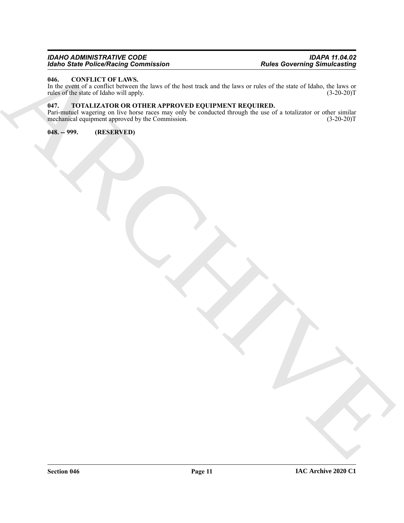### *IDAHO ADMINISTRATIVE CODE IDAPA 11.04.02 Idaho State Police/Racing Commission Rules Governing Simulcasting*

## <span id="page-10-3"></span><span id="page-10-0"></span>**046. CONFLICT OF LAWS.**

In the event of a conflict between the laws of the host track and the laws or rules of the state of Idaho, the laws or rules of the state of Idaho will apply.  $(3-20-20)$ rules of the state of Idaho will apply.

## <span id="page-10-4"></span><span id="page-10-1"></span>**047. TOTALIZATOR OR OTHER APPROVED EQUIPMENT REQUIRED.**

For Since Principal Contents of the Care of the Latitude of the Care Contenting Similarities<br>
Hungaritation of the Care of the Care of the Care of the Care of the Care of the Care of the Care of the Care of the Care of the Pari-mutuel wagering on live horse races may only be conducted through the use of a totalizator or other similar mechanical equipment approved by the Commission. (3-20-20) mechanical equipment approved by the Commission.

<span id="page-10-2"></span>**048. -- 999. (RESERVED)**